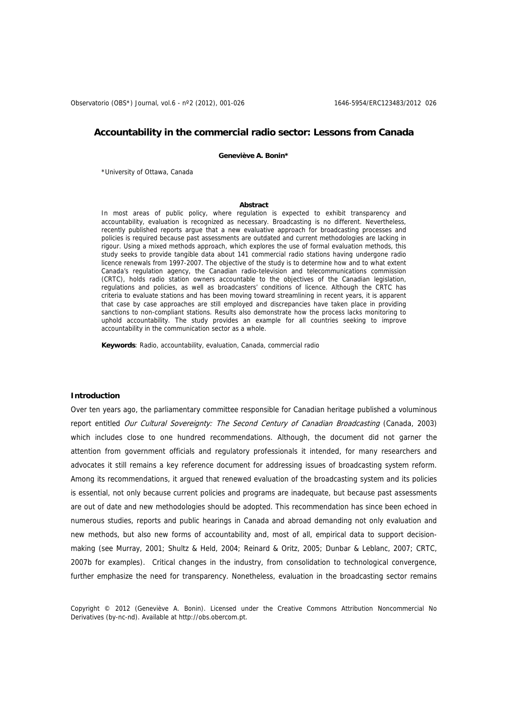Observatorio (OBS\*) Journal, vol.6 - nº2 (2012), 001-026 1646-5954/ERC123483/2012 026

# **Accountability in the commercial radio sector: Lessons from Canada**

**Geneviève A. Bonin\*** 

\*University of Ottawa, Canada

#### **Abstract**

In most areas of public policy, where regulation is expected to exhibit transparency and accountability, evaluation is recognized as necessary. Broadcasting is no different. Nevertheless, recently published reports argue that a new evaluative approach for broadcasting processes and policies is required because past assessments are outdated and current methodologies are lacking in rigour. Using a mixed methods approach, which explores the use of formal evaluation methods, this study seeks to provide tangible data about 141 commercial radio stations having undergone radio licence renewals from 1997-2007. The objective of the study is to determine how and to what extent Canada's regulation agency, the Canadian radio-television and telecommunications commission (CRTC), holds radio station owners accountable to the objectives of the Canadian legislation, regulations and policies, as well as broadcasters' conditions of licence. Although the CRTC has criteria to evaluate stations and has been moving toward streamlining in recent years, it is apparent that case by case approaches are still employed and discrepancies have taken place in providing sanctions to non-compliant stations. Results also demonstrate how the process lacks monitoring to uphold accountability. The study provides an example for all countries seeking to improve accountability in the communication sector as a whole.

**Keywords**: Radio, accountability, evaluation, Canada, commercial radio

# **Introduction**

Over ten years ago, the parliamentary committee responsible for Canadian heritage published a voluminous report entitled Our Cultural Sovereignty: The Second Century of Canadian Broadcasting (Canada, 2003) which includes close to one hundred recommendations. Although, the document did not garner the attention from government officials and regulatory professionals it intended, for many researchers and advocates it still remains a key reference document for addressing issues of broadcasting system reform. Among its recommendations, it argued that renewed evaluation of the broadcasting system and its policies is essential, not only because current policies and programs are inadequate, but because past assessments are out of date and new methodologies should be adopted. This recommendation has since been echoed in numerous studies, reports and public hearings in Canada and abroad demanding not only evaluation and new methods, but also new forms of accountability and, most of all, empirical data to support decisionmaking (see Murray, 2001; Shultz & Held, 2004; Reinard & Oritz, 2005; Dunbar & Leblanc, 2007; CRTC, 2007b for examples). Critical changes in the industry, from consolidation to technological convergence, further emphasize the need for transparency. Nonetheless, evaluation in the broadcasting sector remains

Copyright © 2012 (Geneviève A. Bonin). Licensed under the Creative Commons Attribution Noncommercial No Derivatives (by-nc-nd). Available at http://obs.obercom.pt.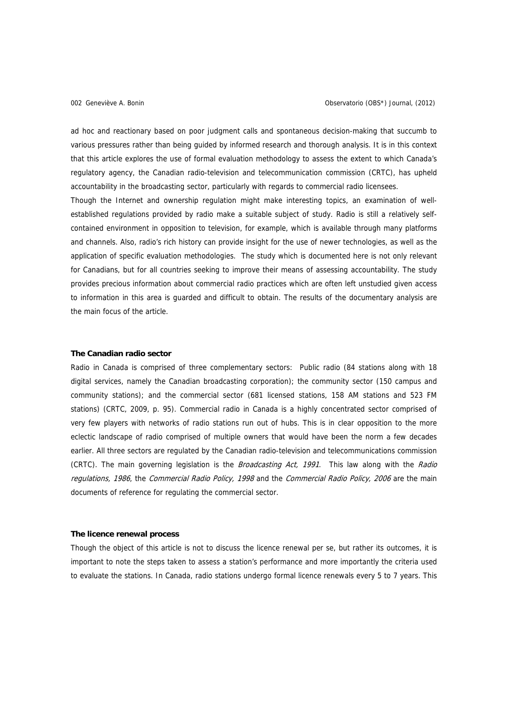ad hoc and reactionary based on poor judgment calls and spontaneous decision-making that succumb to various pressures rather than being guided by informed research and thorough analysis. It is in this context that this article explores the use of formal evaluation methodology to assess the extent to which Canada's regulatory agency, the Canadian radio-television and telecommunication commission (CRTC), has upheld accountability in the broadcasting sector, particularly with regards to commercial radio licensees.

Though the Internet and ownership regulation might make interesting topics, an examination of wellestablished regulations provided by radio make a suitable subject of study. Radio is still a relatively selfcontained environment in opposition to television, for example, which is available through many platforms and channels. Also, radio's rich history can provide insight for the use of newer technologies, as well as the application of specific evaluation methodologies. The study which is documented here is not only relevant for Canadians, but for all countries seeking to improve their means of assessing accountability. The study provides precious information about commercial radio practices which are often left unstudied given access to information in this area is guarded and difficult to obtain. The results of the documentary analysis are the main focus of the article.

# **The Canadian radio sector**

Radio in Canada is comprised of three complementary sectors: Public radio (84 stations along with 18 digital services, namely the Canadian broadcasting corporation); the community sector (150 campus and community stations); and the commercial sector (681 licensed stations, 158 AM stations and 523 FM stations) (CRTC, 2009, p. 95). Commercial radio in Canada is a highly concentrated sector comprised of very few players with networks of radio stations run out of hubs. This is in clear opposition to the more eclectic landscape of radio comprised of multiple owners that would have been the norm a few decades earlier. All three sectors are regulated by the Canadian radio-television and telecommunications commission (CRTC). The main governing legislation is the *Broadcasting Act, 1991*. This law along with the *Radio* regulations, 1986, the Commercial Radio Policy, 1998 and the Commercial Radio Policy, 2006 are the main documents of reference for regulating the commercial sector.

## **The licence renewal process**

Though the object of this article is not to discuss the licence renewal per se, but rather its outcomes, it is important to note the steps taken to assess a station's performance and more importantly the criteria used to evaluate the stations. In Canada, radio stations undergo formal licence renewals every 5 to 7 years. This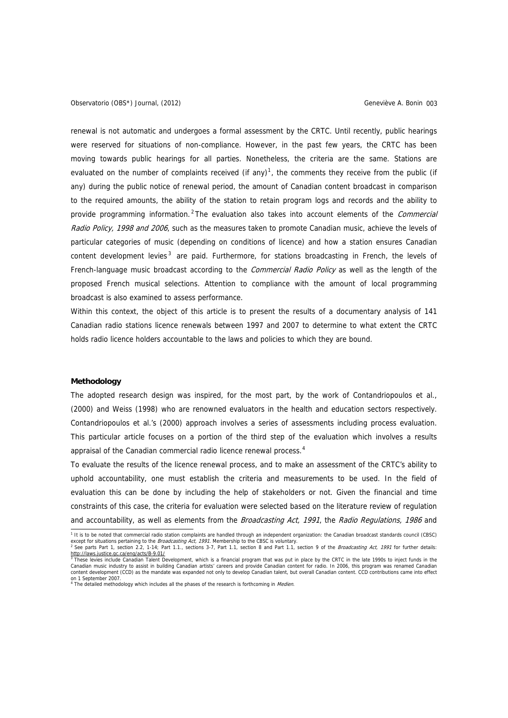<span id="page-2-0"></span>Observatorio (OBS\*) Journal, (2012) Geneviève A. Bonin 003

renewal is not automatic and undergoes a formal assessment by the CRTC. Until recently, public hearings were reserved for situations of non-compliance. However, in the past few years, the CRTC has been moving towards public hearings for all parties. Nonetheless, the criteria are the same. Stations are evaluated on the number of complaints received (if any)<sup>[1](#page-2-0)</sup>, the comments they receive from the public (if any) during the public notice of renewal period, the amount of Canadian content broadcast in comparison to the required amounts, the ability of the station to retain program logs and records and the ability to provide programming information.<sup>[2](#page-2-0)</sup>The evaluation also takes into account elements of the *Commercial* Radio Policy, 1998 and 2006, such as the measures taken to promote Canadian music, achieve the levels of particular categories of music (depending on conditions of licence) and how a station ensures Canadian content development levies<sup>[3](#page-2-0)</sup> are paid. Furthermore, for stations broadcasting in French, the levels of French-language music broadcast according to the *Commercial Radio Policy* as well as the length of the proposed French musical selections. Attention to compliance with the amount of local programming broadcast is also examined to assess performance.

Within this context, the object of this article is to present the results of a documentary analysis of 141 Canadian radio stations licence renewals between 1997 and 2007 to determine to what extent the CRTC holds radio licence holders accountable to the laws and policies to which they are bound.

## **Methodology**

The adopted research design was inspired, for the most part, by the work of Contandriopoulos et al., (2000) and Weiss (1998) who are renowned evaluators in the health and education sectors respectively. Contandriopoulos et al.'s (2000) approach involves a series of assessments including process evaluation. This particular article focuses on a portion of the third step of the evaluation which involves a results appraisal of the Canadian commercial radio licence renewal process.<sup>[4](#page-2-0)</sup>

To evaluate the results of the licence renewal process, and to make an assessment of the CRTC's ability to uphold accountability, one must establish the criteria and measurements to be used. In the field of evaluation this can be done by including the help of stakeholders or not. Given the financial and time constraints of this case, the criteria for evaluation were selected based on the literature review of regulation and accountability, as well as elements from the Broadcasting Act, 1991, the Radio Regulations, 1986 and

<sup>1&</sup>lt;br>This to be noted that commercial radio station complaints are handled through an independent organization: the Canadian broadcast standards council (CBSC)<br>The except for situations pertaining to the *Broadcasting Act*, 1

<http://laws.justice.gc.ca/eng/acts/B-9.01/><br><sup>3</sup> These levies include Canadian Talent Development, which is a financial program that was put in place by the CRTC in the late 1990s to inject funds in the Canadian music industry to assist in building Canadian artists' careers and provide Canadian content for radio. In 2006, this program was renamed Canadian content development (CCD) as the mandate was expanded not only to develop Canadian talent, but overall Canadian content. CCD contributions came into effect

on 1 September 2007.<br><sup>4</sup> The detailed methodology which includes all the phases of the research is forthcoming in *Medien.*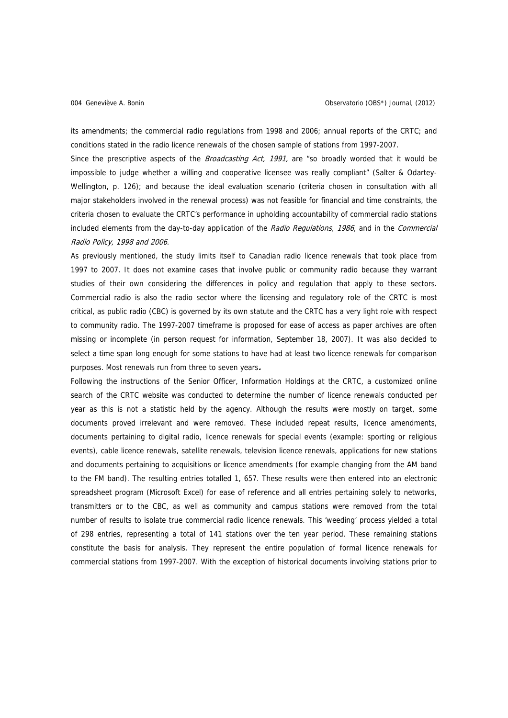its amendments; the commercial radio regulations from 1998 and 2006; annual reports of the CRTC; and conditions stated in the radio licence renewals of the chosen sample of stations from 1997-2007.

Since the prescriptive aspects of the *Broadcasting Act, 1991*, are "so broadly worded that it would be impossible to judge whether a willing and cooperative licensee was really compliant" (Salter & Odartey-Wellington, p. 126); and because the ideal evaluation scenario (criteria chosen in consultation with all major stakeholders involved in the renewal process) was not feasible for financial and time constraints, the criteria chosen to evaluate the CRTC's performance in upholding accountability of commercial radio stations included elements from the day-to-day application of the Radio Regulations, 1986, and in the Commercial Radio Policy, 1998 and 2006.

As previously mentioned, the study limits itself to Canadian radio licence renewals that took place from 1997 to 2007. It does not examine cases that involve public or community radio because they warrant studies of their own considering the differences in policy and regulation that apply to these sectors. Commercial radio is also the radio sector where the licensing and regulatory role of the CRTC is most critical, as public radio (CBC) is governed by its own statute and the CRTC has a very light role with respect to community radio. The 1997-2007 timeframe is proposed for ease of access as paper archives are often missing or incomplete (in person request for information, September 18, 2007). It was also decided to select a time span long enough for some stations to have had at least two licence renewals for comparison purposes. Most renewals run from three to seven years**.**

Following the instructions of the Senior Officer, Information Holdings at the CRTC, a customized online search of the CRTC website was conducted to determine the number of licence renewals conducted per year as this is not a statistic held by the agency. Although the results were mostly on target, some documents proved irrelevant and were removed. These included repeat results, licence amendments, documents pertaining to digital radio, licence renewals for special events (example: sporting or religious events), cable licence renewals, satellite renewals, television licence renewals, applications for new stations and documents pertaining to acquisitions or licence amendments (for example changing from the AM band to the FM band). The resulting entries totalled 1, 657. These results were then entered into an electronic spreadsheet program (Microsoft Excel) for ease of reference and all entries pertaining solely to networks, transmitters or to the CBC, as well as community and campus stations were removed from the total number of results to isolate true commercial radio licence renewals. This 'weeding' process yielded a total of 298 entries, representing a total of 141 stations over the ten year period. These remaining stations constitute the basis for analysis. They represent the entire population of formal licence renewals for commercial stations from 1997-2007. With the exception of historical documents involving stations prior to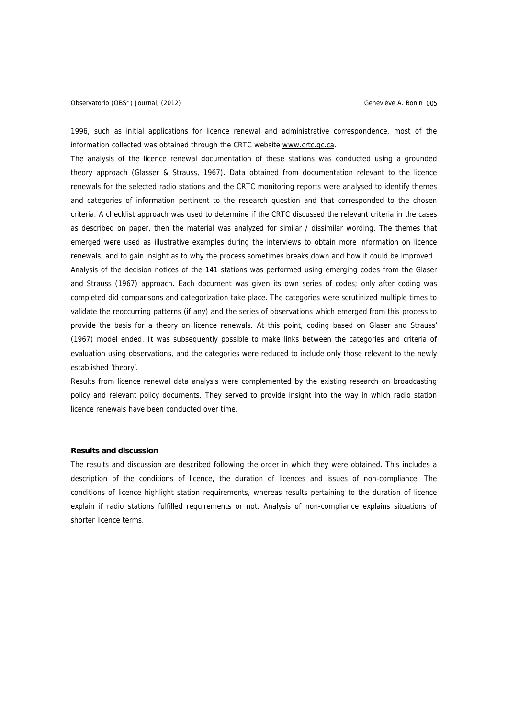1996, such as initial applications for licence renewal and administrative correspondence, most of the information collected was obtained through the CRTC website [www.crtc.gc.ca.](http://www.crtc.gc.ca/)

The analysis of the licence renewal documentation of these stations was conducted using a grounded theory approach (Glasser & Strauss, 1967). Data obtained from documentation relevant to the licence renewals for the selected radio stations and the CRTC monitoring reports were analysed to identify themes and categories of information pertinent to the research question and that corresponded to the chosen criteria. A checklist approach was used to determine if the CRTC discussed the relevant criteria in the cases as described on paper, then the material was analyzed for similar / dissimilar wording. The themes that emerged were used as illustrative examples during the interviews to obtain more information on licence renewals, and to gain insight as to why the process sometimes breaks down and how it could be improved. Analysis of the decision notices of the 141 stations was performed using emerging codes from the Glaser and Strauss (1967) approach. Each document was given its own series of codes; only after coding was completed did comparisons and categorization take place. The categories were scrutinized multiple times to validate the reoccurring patterns (if any) and the series of observations which emerged from this process to provide the basis for a theory on licence renewals. At this point, coding based on Glaser and Strauss' (1967) model ended. It was subsequently possible to make links between the categories and criteria of evaluation using observations, and the categories were reduced to include only those relevant to the newly established 'theory'.

Results from licence renewal data analysis were complemented by the existing research on broadcasting policy and relevant policy documents. They served to provide insight into the way in which radio station licence renewals have been conducted over time.

## **Results and discussion**

The results and discussion are described following the order in which they were obtained. This includes a description of the conditions of licence, the duration of licences and issues of non-compliance. The conditions of licence highlight station requirements, whereas results pertaining to the duration of licence explain if radio stations fulfilled requirements or not. Analysis of non-compliance explains situations of shorter licence terms.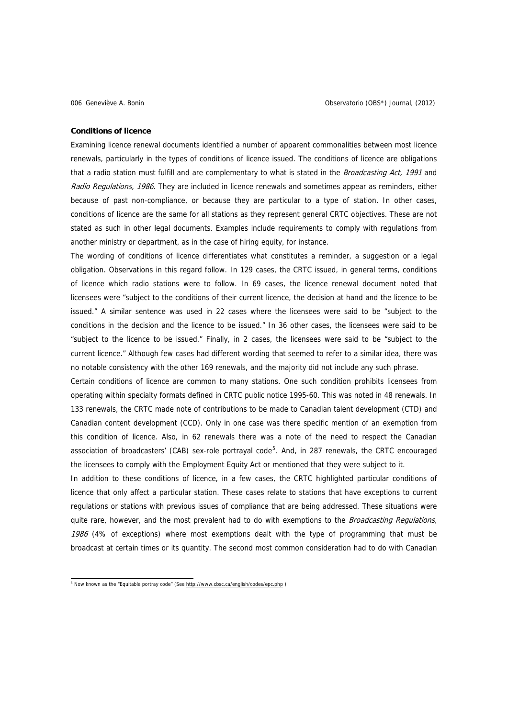### <span id="page-5-0"></span>**Conditions of licence**

Examining licence renewal documents identified a number of apparent commonalities between most licence renewals, particularly in the types of conditions of licence issued. The conditions of licence are obligations that a radio station must fulfill and are complementary to what is stated in the Broadcasting Act, 1991 and Radio Regulations, 1986. They are included in licence renewals and sometimes appear as reminders, either because of past non-compliance, or because they are particular to a type of station. In other cases, conditions of licence are the same for all stations as they represent general CRTC objectives. These are not stated as such in other legal documents. Examples include requirements to comply with regulations from another ministry or department, as in the case of hiring equity, for instance.

The wording of conditions of licence differentiates what constitutes a reminder, a suggestion or a legal obligation. Observations in this regard follow. In 129 cases, the CRTC issued, in general terms, conditions of licence which radio stations were to follow. In 69 cases, the licence renewal document noted that licensees were "subject to the conditions of their current licence, the decision at hand and the licence to be issued." A similar sentence was used in 22 cases where the licensees were said to be "subject to the conditions in the decision and the licence to be issued." In 36 other cases, the licensees were said to be "subject to the licence to be issued." Finally, in 2 cases, the licensees were said to be "subject to the current licence." Although few cases had different wording that seemed to refer to a similar idea, there was no notable consistency with the other 169 renewals, and the majority did not include any such phrase.

Certain conditions of licence are common to many stations. One such condition prohibits licensees from operating within specialty formats defined in CRTC public notice 1995-60. This was noted in 48 renewals. In 133 renewals, the CRTC made note of contributions to be made to Canadian talent development (CTD) and Canadian content development (CCD). Only in one case was there specific mention of an exemption from this condition of licence. Also, in 62 renewals there was a note of the need to respect the Canadian association of broadcasters' (CAB) sex-role portrayal code<sup>[5](#page-5-0)</sup>. And, in 287 renewals, the CRTC encouraged the licensees to comply with the Employment Equity Act or mentioned that they were subject to it.

In addition to these conditions of licence, in a few cases, the CRTC highlighted particular conditions of licence that only affect a particular station. These cases relate to stations that have exceptions to current regulations or stations with previous issues of compliance that are being addressed. These situations were quite rare, however, and the most prevalent had to do with exemptions to the *Broadcasting Regulations*, 1986 (4% of exceptions) where most exemptions dealt with the type of programming that must be broadcast at certain times or its quantity. The second most common consideration had to do with Canadian

<sup>&</sup>lt;sup>5</sup><br><sup>5</sup> Now known as the "Equitable portray code" (See http://www.cbsc.ca/english/codes/epc.php)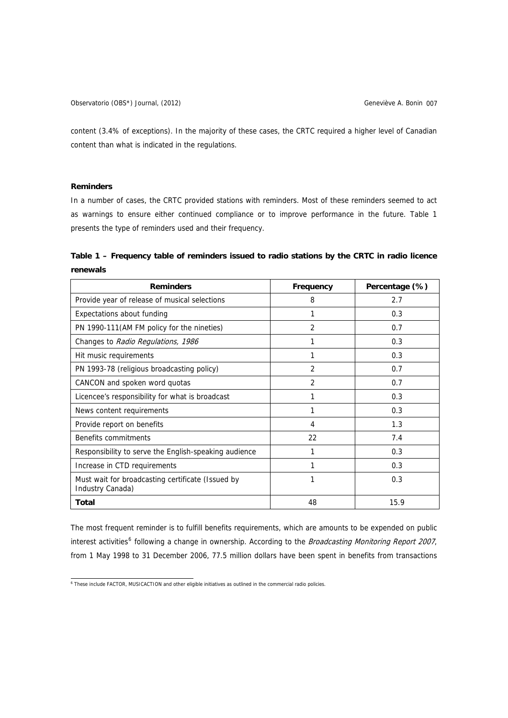<span id="page-6-0"></span>content (3.4% of exceptions). In the majority of these cases, the CRTC required a higher level of Canadian content than what is indicated in the regulations.

# **Reminders**

In a number of cases, the CRTC provided stations with reminders. Most of these reminders seemed to act as warnings to ensure either continued compliance or to improve performance in the future. Table 1 presents the type of reminders used and their frequency.

**Table 1 – Frequency table of reminders issued to radio stations by the CRTC in radio licence renewals** 

| <b>Reminders</b>                                                      | Frequency      | Percentage (%) |
|-----------------------------------------------------------------------|----------------|----------------|
| Provide year of release of musical selections                         | 8              | 2.7            |
| Expectations about funding                                            | 1              | 0.3            |
| PN 1990-111 (AM FM policy for the nineties)                           | $\overline{2}$ | 0.7            |
| Changes to Radio Regulations, 1986                                    | 1              | 0.3            |
| Hit music requirements                                                | 1              | 0.3            |
| PN 1993-78 (religious broadcasting policy)                            | $\mathfrak{p}$ | 0.7            |
| CANCON and spoken word quotas                                         | $\mathcal{P}$  | 0.7            |
| Licencee's responsibility for what is broadcast                       | 1              | 0.3            |
| News content requirements                                             | 1              | 0.3            |
| Provide report on benefits                                            | 4              | 1.3            |
| Benefits commitments                                                  | 22             | 7.4            |
| Responsibility to serve the English-speaking audience                 | 1              | 0.3            |
| Increase in CTD requirements                                          | 1              | 0.3            |
| Must wait for broadcasting certificate (Issued by<br>Industry Canada) | 1              | 0.3            |
| Total                                                                 | 48             | 15.9           |

The most frequent reminder is to fulfill benefits requirements, which are amounts to be expended on public interest activities<sup>[6](#page-6-0)</sup> following a change in ownership. According to the *Broadcasting Monitoring Report 2007*, from 1 May 1998 to 31 December 2006, 77.5 million dollars have been spent in benefits from transactions

 6 These include FACTOR, MUSICACTION and other eligible initiatives as outlined in the commercial radio policies.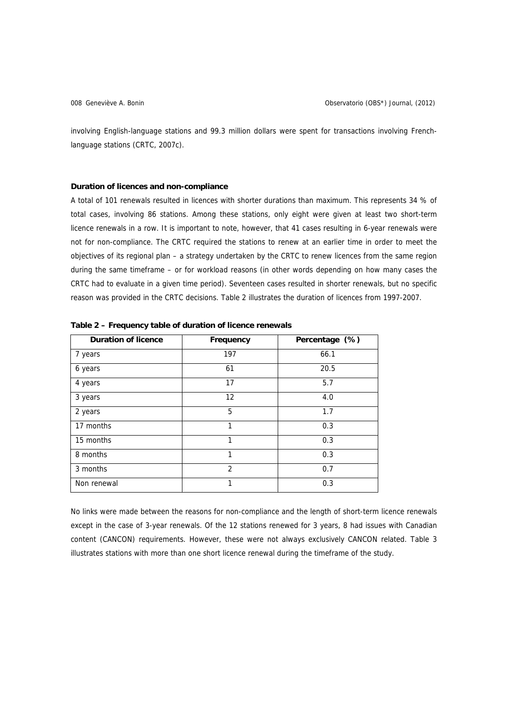involving English-language stations and 99.3 million dollars were spent for transactions involving Frenchlanguage stations (CRTC, 2007c).

## **Duration of licences and non-compliance**

A total of 101 renewals resulted in licences with shorter durations than maximum. This represents 34 % of total cases, involving 86 stations. Among these stations, only eight were given at least two short-term licence renewals in a row. It is important to note, however, that 41 cases resulting in 6-year renewals were not for non-compliance. The CRTC required the stations to renew at an earlier time in order to meet the objectives of its regional plan – a strategy undertaken by the CRTC to renew licences from the same region during the same timeframe – or for workload reasons (in other words depending on how many cases the CRTC had to evaluate in a given time period). Seventeen cases resulted in shorter renewals, but no specific reason was provided in the CRTC decisions. Table 2 illustrates the duration of licences from 1997-2007.

| <b>Duration of licence</b> | Frequency         | Percentage (%) |
|----------------------------|-------------------|----------------|
| 7 years                    | 197               | 66.1           |
| 6 years                    | 61                | 20.5           |
| 4 years                    | 17                | 5.7            |
| 3 years                    | $12 \overline{ }$ | 4.0            |
| 2 years                    | 5                 | 1.7            |
| 17 months                  | 1                 | 0.3            |
| 15 months                  | 1                 | 0.3            |
| 8 months                   | 1                 | 0.3            |
| 3 months                   | $\overline{2}$    | 0.7            |
| Non renewal                | 1                 | 0.3            |

**Table 2 – Frequency table of duration of licence renewals** 

No links were made between the reasons for non-compliance and the length of short-term licence renewals except in the case of 3-year renewals. Of the 12 stations renewed for 3 years, 8 had issues with Canadian content (CANCON) requirements. However, these were not always exclusively CANCON related. Table 3 illustrates stations with more than one short licence renewal during the timeframe of the study.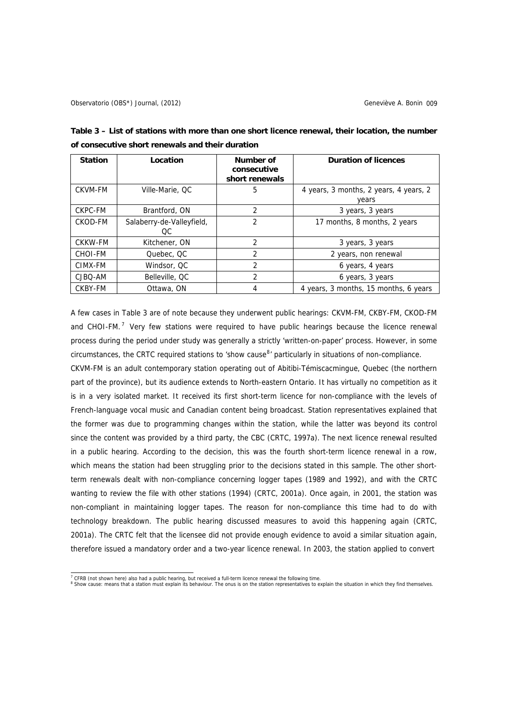| <b>Station</b> | Location                         | Number of<br>consecutive<br>short renewals | <b>Duration of licences</b>                     |
|----------------|----------------------------------|--------------------------------------------|-------------------------------------------------|
| <b>CKVM-FM</b> | Ville-Marie, QC                  | 5                                          | 4 years, 3 months, 2 years, 4 years, 2<br>years |
| CKPC-FM        | Brantford, ON                    | 2                                          | 3 years, 3 years                                |
| CKOD-FM        | Salaberry-de-Valleyfield,<br>OC. | 2                                          | 17 months, 8 months, 2 years                    |
| CKKW-FM        | Kitchener, ON                    | 2                                          | 3 years, 3 years                                |
| <b>CHOI-FM</b> | Quebec, QC                       | 2                                          | 2 years, non renewal                            |
| CIMX-FM        | Windsor, QC                      | 2                                          | 6 years, 4 years                                |
| CJBQ-AM        | Belleville, QC                   | 2                                          | 6 years, 3 years                                |
| CKBY-FM        | Ottawa, ON                       | 4                                          | 4 years, 3 months, 15 months, 6 years           |

<span id="page-8-0"></span>**Table 3 – List of stations with more than one short licence renewal, their location, the number of consecutive short renewals and their duration** 

A few cases in Table 3 are of note because they underwent public hearings: CKVM-FM, CKBY-FM, CKOD-FM and CHOI-FM. $<sup>7</sup>$  $<sup>7</sup>$  $<sup>7</sup>$  Very few stations were required to have public hearings because the licence renewal</sup> process during the period under study was generally a strictly 'written-on-paper' process. However, in some circumstances, the CRTC required stations to 'show cause<sup>[8](#page-8-0)</sup>' particularly in situations of non-compliance.

CKVM-FM is an adult contemporary station operating out of Abitibi-Témiscacmingue, Quebec (the northern part of the province), but its audience extends to North-eastern Ontario. It has virtually no competition as it is in a very isolated market. It received its first short-term licence for non-compliance with the levels of French-language vocal music and Canadian content being broadcast. Station representatives explained that the former was due to programming changes within the station, while the latter was beyond its control since the content was provided by a third party, the CBC (CRTC, 1997a). The next licence renewal resulted in a public hearing. According to the decision, this was the fourth short-term licence renewal in a row, which means the station had been struggling prior to the decisions stated in this sample. The other shortterm renewals dealt with non-compliance concerning logger tapes (1989 and 1992), and with the CRTC wanting to review the file with other stations (1994) (CRTC, 2001a). Once again, in 2001, the station was non-compliant in maintaining logger tapes. The reason for non-compliance this time had to do with technology breakdown. The public hearing discussed measures to avoid this happening again (CRTC, 2001a). The CRTC felt that the licensee did not provide enough evidence to avoid a similar situation again, therefore issued a mandatory order and a two-year licence renewal. In 2003, the station applied to convert

The critical contract the state of a public hearing, but received a full-term licence renewal the following time.<br><sup>8</sup> Show cause: means that a station must explain its behaviour. The onus is on the station representatives

 $\frac{1}{3}$  Show cause: means that a station must explain its behaviour. The onus is on the station representatives to explain the situation in which they find themselves.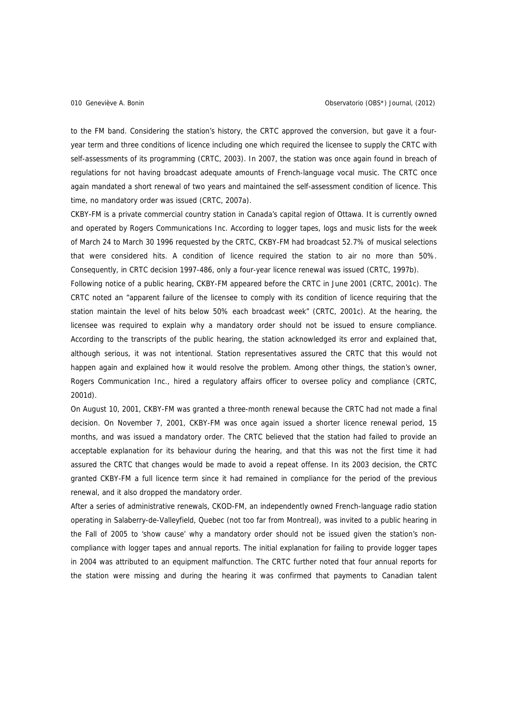to the FM band. Considering the station's history, the CRTC approved the conversion, but gave it a fouryear term and three conditions of licence including one which required the licensee to supply the CRTC with self-assessments of its programming (CRTC, 2003). In 2007, the station was once again found in breach of regulations for not having broadcast adequate amounts of French-language vocal music. The CRTC once again mandated a short renewal of two years and maintained the self-assessment condition of licence. This time, no mandatory order was issued (CRTC, 2007a).

CKBY-FM is a private commercial country station in Canada's capital region of Ottawa. It is currently owned and operated by Rogers Communications Inc. According to logger tapes, logs and music lists for the week of March 24 to March 30 1996 requested by the CRTC, CKBY-FM had broadcast 52.7% of musical selections that were considered hits. A condition of licence required the station to air no more than 50%. Consequently, in CRTC decision 1997-486, only a four-year licence renewal was issued (CRTC, 1997b).

Following notice of a public hearing, CKBY-FM appeared before the CRTC in June 2001 (CRTC, 2001c). The CRTC noted an "apparent failure of the licensee to comply with its condition of licence requiring that the station maintain the level of hits below 50% each broadcast week" (CRTC, 2001c). At the hearing, the licensee was required to explain why a mandatory order should not be issued to ensure compliance. According to the transcripts of the public hearing, the station acknowledged its error and explained that, although serious, it was not intentional. Station representatives assured the CRTC that this would not happen again and explained how it would resolve the problem. Among other things, the station's owner, Rogers Communication Inc., hired a regulatory affairs officer to oversee policy and compliance (CRTC, 2001d).

On August 10, 2001, CKBY-FM was granted a three-month renewal because the CRTC had not made a final decision. On November 7, 2001, CKBY-FM was once again issued a shorter licence renewal period, 15 months, and was issued a mandatory order. The CRTC believed that the station had failed to provide an acceptable explanation for its behaviour during the hearing, and that this was not the first time it had assured the CRTC that changes would be made to avoid a repeat offense. In its 2003 decision, the CRTC granted CKBY-FM a full licence term since it had remained in compliance for the period of the previous renewal, and it also dropped the mandatory order.

After a series of administrative renewals, CKOD-FM, an independently owned French-language radio station operating in Salaberry-de-Valleyfield, Quebec (not too far from Montreal), was invited to a public hearing in the Fall of 2005 to 'show cause' why a mandatory order should not be issued given the station's noncompliance with logger tapes and annual reports. The initial explanation for failing to provide logger tapes in 2004 was attributed to an equipment malfunction. The CRTC further noted that four annual reports for the station were missing and during the hearing it was confirmed that payments to Canadian talent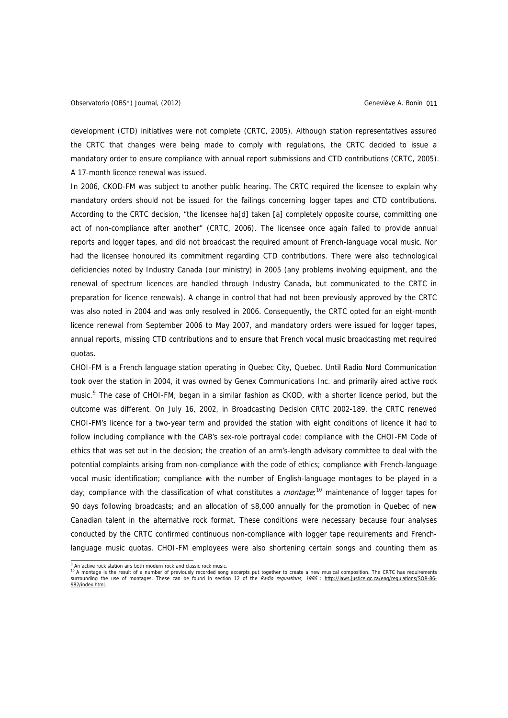<span id="page-10-0"></span>development (CTD) initiatives were not complete (CRTC, 2005). Although station representatives assured the CRTC that changes were being made to comply with regulations, the CRTC decided to issue a mandatory order to ensure compliance with annual report submissions and CTD contributions (CRTC, 2005). A 17-month licence renewal was issued.

In 2006, CKOD-FM was subject to another public hearing. The CRTC required the licensee to explain why mandatory orders should not be issued for the failings concerning logger tapes and CTD contributions. According to the CRTC decision, "the licensee ha[d] taken [a] completely opposite course, committing one act of non-compliance after another" (CRTC, 2006). The licensee once again failed to provide annual reports and logger tapes, and did not broadcast the required amount of French-language vocal music. Nor had the licensee honoured its commitment regarding CTD contributions. There were also technological deficiencies noted by Industry Canada (our ministry) in 2005 (any problems involving equipment, and the renewal of spectrum licences are handled through Industry Canada, but communicated to the CRTC in preparation for licence renewals). A change in control that had not been previously approved by the CRTC was also noted in 2004 and was only resolved in 2006. Consequently, the CRTC opted for an eight-month licence renewal from September 2006 to May 2007, and mandatory orders were issued for logger tapes, annual reports, missing CTD contributions and to ensure that French vocal music broadcasting met required quotas.

CHOI-FM is a French language station operating in Quebec City, Quebec. Until Radio Nord Communication took over the station in 2004, it was owned by Genex Communications Inc. and primarily aired active rock music.<sup>[9](#page-10-0)</sup> The case of CHOI-FM, began in a similar fashion as CKOD, with a shorter licence period, but the outcome was different. On July 16, 2002, in Broadcasting Decision CRTC 2002-189, the CRTC renewed CHOI-FM's licence for a two-year term and provided the station with eight conditions of licence it had to follow including compliance with the CAB's sex-role portrayal code; compliance with the CHOI-FM Code of ethics that was set out in the decision; the creation of an arm's-length advisory committee to deal with the potential complaints arising from non-compliance with the code of ethics; compliance with French-language vocal music identification; compliance with the number of English-language montages to be played in a day; compliance with the classification of what constitutes a *montage*;<sup>[10](#page-10-0)</sup> maintenance of logger tapes for 90 days following broadcasts; and an allocation of \$8,000 annually for the promotion in Quebec of new Canadian talent in the alternative rock format. These conditions were necessary because four analyses conducted by the CRTC confirmed continuous non-compliance with logger tape requirements and Frenchlanguage music quotas. CHOI-FM employees were also shortening certain songs and counting them as

<sup>.&</sup>lt;br>9

 $\frac{1}{10}$  A montage is the result of a number of previously recorded song excerpts put together to create a new musical composition. The CRTC has requirements surrounding the use of montages. These can be found in section 12 of the Radio regulations, 1986 : [http://laws.justice.gc.ca/eng/regulations/SOR-86-](http://laws.justice.gc.ca/eng/regulations/SOR-86-982/index.html) [982/index.html.](http://laws.justice.gc.ca/eng/regulations/SOR-86-982/index.html)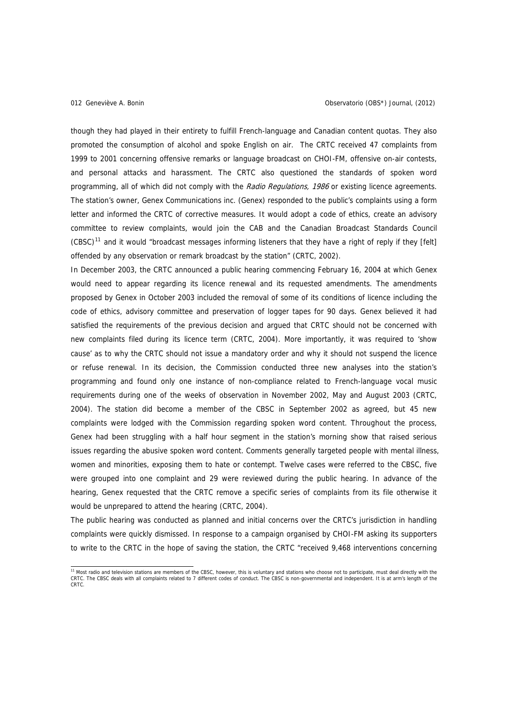<span id="page-11-0"></span>though they had played in their entirety to fulfill French-language and Canadian content quotas. They also promoted the consumption of alcohol and spoke English on air. The CRTC received 47 complaints from 1999 to 2001 concerning offensive remarks or language broadcast on CHOI-FM, offensive on-air contests, and personal attacks and harassment. The CRTC also questioned the standards of spoken word programming, all of which did not comply with the Radio Regulations, 1986 or existing licence agreements. The station's owner, Genex Communications inc. (Genex) responded to the public's complaints using a form letter and informed the CRTC of corrective measures. It would adopt a code of ethics, create an advisory committee to review complaints, would join the CAB and the Canadian Broadcast Standards Council  $(CBSC)^{11}$  $(CBSC)^{11}$  $(CBSC)^{11}$  and it would "broadcast messages informing listeners that they have a right of reply if they [felt] offended by any observation or remark broadcast by the station" (CRTC, 2002).

In December 2003, the CRTC announced a public hearing commencing February 16, 2004 at which Genex would need to appear regarding its licence renewal and its requested amendments. The amendments proposed by Genex in October 2003 included the removal of some of its conditions of licence including the code of ethics, advisory committee and preservation of logger tapes for 90 days. Genex believed it had satisfied the requirements of the previous decision and argued that CRTC should not be concerned with new complaints filed during its licence term (CRTC, 2004). More importantly, it was required to 'show cause' as to why the CRTC should not issue a mandatory order and why it should not suspend the licence or refuse renewal. In its decision, the Commission conducted three new analyses into the station's programming and found only one instance of non-compliance related to French-language vocal music requirements during one of the weeks of observation in November 2002, May and August 2003 (CRTC, 2004). The station did become a member of the CBSC in September 2002 as agreed, but 45 new complaints were lodged with the Commission regarding spoken word content. Throughout the process, Genex had been struggling with a half hour segment in the station's morning show that raised serious issues regarding the abusive spoken word content. Comments generally targeted people with mental illness, women and minorities, exposing them to hate or contempt. Twelve cases were referred to the CBSC, five were grouped into one complaint and 29 were reviewed during the public hearing. In advance of the hearing, Genex requested that the CRTC remove a specific series of complaints from its file otherwise it would be unprepared to attend the hearing (CRTC, 2004).

The public hearing was conducted as planned and initial concerns over the CRTC's jurisdiction in handling complaints were quickly dismissed. In response to a campaign organised by CHOI-FM asking its supporters to write to the CRTC in the hope of saving the station, the CRTC "received 9,468 interventions concerning

 11 Most radio and television stations are members of the CBSC, however, this is voluntary and stations who choose not to participate, must deal directly with the CRTC. The CBSC deals with all complaints related to 7 different codes of conduct. The CBSC is non-governmental and independent. It is at arm's length of the CRTC.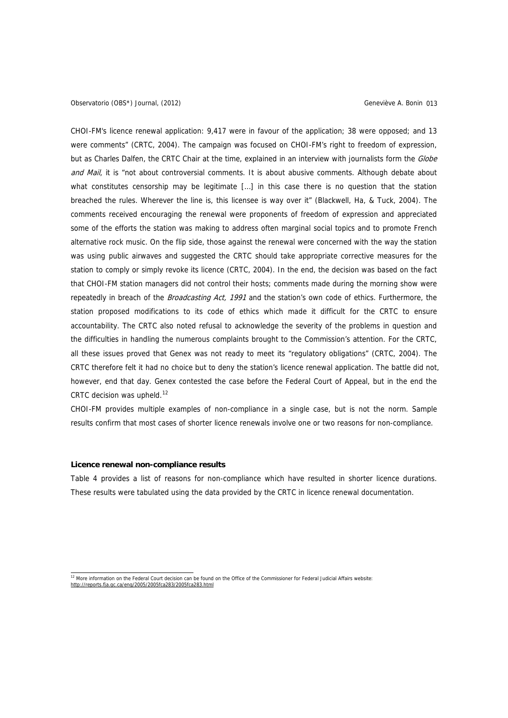<span id="page-12-0"></span>CHOI-FM's licence renewal application: 9,417 were in favour of the application; 38 were opposed; and 13 were comments" (CRTC, 2004). The campaign was focused on CHOI-FM's right to freedom of expression, but as Charles Dalfen, the CRTC Chair at the time, explained in an interview with journalists form the Globe and Mail, it is "not about controversial comments. It is about abusive comments. Although debate about what constitutes censorship may be legitimate [...] in this case there is no question that the station breached the rules. Wherever the line is, this licensee is way over it" (Blackwell, Ha, & Tuck, 2004). The comments received encouraging the renewal were proponents of freedom of expression and appreciated some of the efforts the station was making to address often marginal social topics and to promote French alternative rock music. On the flip side, those against the renewal were concerned with the way the station was using public airwaves and suggested the CRTC should take appropriate corrective measures for the station to comply or simply revoke its licence (CRTC, 2004). In the end, the decision was based on the fact that CHOI-FM station managers did not control their hosts; comments made during the morning show were repeatedly in breach of the Broadcasting Act, 1991 and the station's own code of ethics. Furthermore, the station proposed modifications to its code of ethics which made it difficult for the CRTC to ensure accountability. The CRTC also noted refusal to acknowledge the severity of the problems in question and the difficulties in handling the numerous complaints brought to the Commission's attention. For the CRTC, all these issues proved that Genex was not ready to meet its "regulatory obligations" (CRTC, 2004). The CRTC therefore felt it had no choice but to deny the station's licence renewal application. The battle did not, however, end that day. Genex contested the case before the Federal Court of Appeal, but in the end the CRTC decision was upheld.<sup>[12](#page-12-0)</sup>

CHOI-FM provides multiple examples of non-compliance in a single case, but is not the norm. Sample results confirm that most cases of shorter licence renewals involve one or two reasons for non-compliance.

# **Licence renewal non-compliance results**

Table 4 provides a list of reasons for non-compliance which have resulted in shorter licence durations. These results were tabulated using the data provided by the CRTC in licence renewal documentation.

<sup>12</sup> More information on the Federal Court decision can be found on the Office of the Commissioner for Federal Judicial Affairs website: <http://reports.fja.gc.ca/eng/2005/2005fca283/2005fca283.html>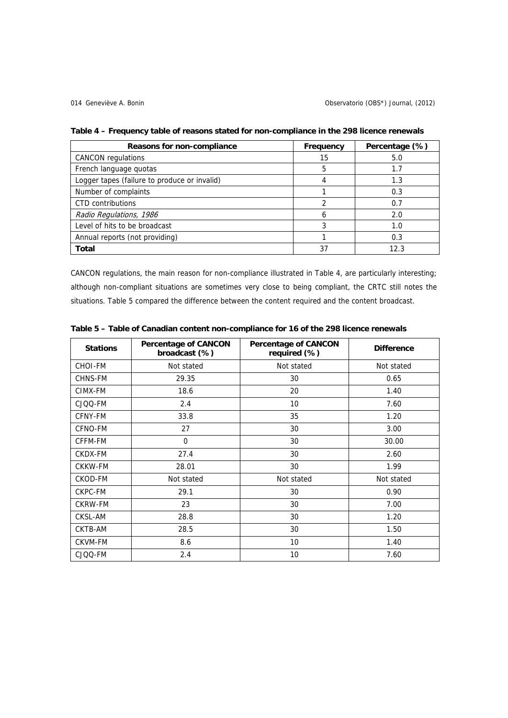| Reasons for non-compliance                   | Frequency | Percentage (%) |
|----------------------------------------------|-----------|----------------|
| <b>CANCON</b> regulations                    | 15        | 5.0            |
| French language quotas                       | 5         | 1.7            |
| Logger tapes (failure to produce or invalid) |           | 1.3            |
| Number of complaints                         |           | 0.3            |
| <b>CTD</b> contributions                     |           | 0.7            |
| Radio Regulations, 1986                      |           | 2.0            |
| Level of hits to be broadcast                |           | 1.0            |
| Annual reports (not providing)               |           | 0.3            |
| Total                                        | 37        | 12.3           |

**Table 4 – Frequency table of reasons stated for non-compliance in the 298 licence renewals** 

CANCON regulations, the main reason for non-compliance illustrated in Table 4, are particularly interesting; although non-compliant situations are sometimes very close to being compliant, the CRTC still notes the situations. Table 5 compared the difference between the content required and the content broadcast.

| <b>Stations</b> | <b>Percentage of CANCON</b><br>broadcast (%) | <b>Percentage of CANCON</b><br>required (%) | <b>Difference</b> |
|-----------------|----------------------------------------------|---------------------------------------------|-------------------|
| <b>CHOI-FM</b>  | Not stated                                   | Not stated                                  | Not stated        |
| <b>CHNS-FM</b>  | 29.35                                        | 30                                          | 0.65              |
| CIMX-FM         | 18.6                                         | 20                                          | 1.40              |
| CJQQ-FM         | 2.4                                          | 10 <sup>°</sup>                             | 7.60              |
| CFNY-FM         | 33.8                                         | 35                                          | 1.20              |
| CFNO-FM         | 27                                           | 30                                          | 3.00              |
| CFFM-FM         | $\Omega$                                     | 30                                          | 30.00             |
| CKDX-FM         | 27.4                                         | 30                                          | 2.60              |
| <b>CKKW-FM</b>  | 28.01                                        | 30                                          | 1.99              |
| CKOD-FM         | Not stated                                   | Not stated                                  | Not stated        |
| CKPC-FM         | 29.1                                         | 30                                          | 0.90              |
| <b>CKRW-FM</b>  | 23                                           | 30                                          | 7.00              |
| CKSL-AM         | 28.8                                         | 30                                          | 1.20              |
| CKTB-AM         | 28.5                                         | 30                                          | 1.50              |
| <b>CKVM-FM</b>  | 8.6                                          | 10                                          | 1.40              |
| CJQQ-FM         | 2.4                                          | 10                                          | 7.60              |

**Table 5 – Table of Canadian content non-compliance for 16 of the 298 licence renewals**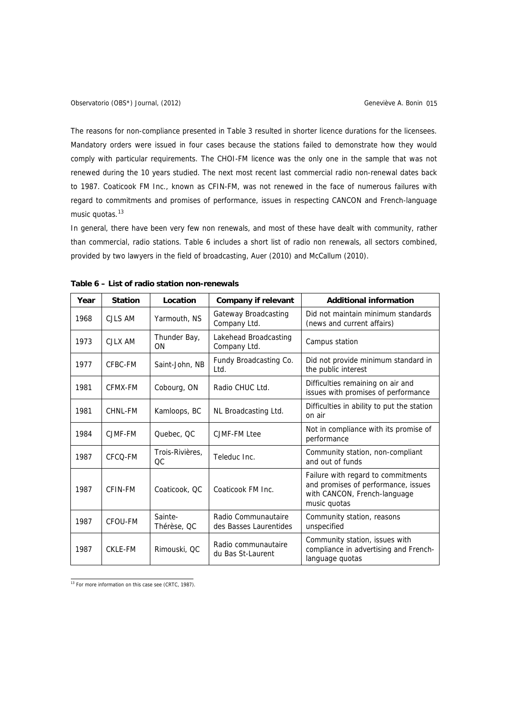<span id="page-14-0"></span>The reasons for non-compliance presented in Table 3 resulted in shorter licence durations for the licensees. Mandatory orders were issued in four cases because the stations failed to demonstrate how they would comply with particular requirements. The CHOI-FM licence was the only one in the sample that was not renewed during the 10 years studied. The next most recent last commercial radio non-renewal dates back to 1987. Coaticook FM Inc., known as CFIN-FM, was not renewed in the face of numerous failures with regard to commitments and promises of performance, issues in respecting CANCON and French-language music quotas.<sup>[13](#page-14-0)</sup>

In general, there have been very few non renewals, and most of these have dealt with community, rather than commercial, radio stations. Table 6 includes a short list of radio non renewals, all sectors combined, provided by two lawyers in the field of broadcasting, Auer (2010) and McCallum (2010).

| Year | <b>Station</b> | Location               | <b>Company if relevant</b>                    | <b>Additional information</b>                                                                                             |
|------|----------------|------------------------|-----------------------------------------------|---------------------------------------------------------------------------------------------------------------------------|
| 1968 | CJLS AM        | Yarmouth, NS           | Gateway Broadcasting<br>Company Ltd.          | Did not maintain minimum standards<br>(news and current affairs)                                                          |
| 1973 | CJLX AM        | Thunder Bay,<br>ON     | Lakehead Broadcasting<br>Company Ltd.         | Campus station                                                                                                            |
| 1977 | CFBC-FM        | Saint-John, NB         | Fundy Broadcasting Co.<br>Ltd.                | Did not provide minimum standard in<br>the public interest                                                                |
| 1981 | CFMX-FM        | Cobourg, ON            | Radio CHUC Ltd.                               | Difficulties remaining on air and<br>issues with promises of performance                                                  |
| 1981 | CHNL-FM        | Kamloops, BC           | NL Broadcasting Ltd.                          | Difficulties in ability to put the station<br>on air                                                                      |
| 1984 | CJMF-FM        | Quebec, QC             | CJMF-FM Ltee                                  | Not in compliance with its promise of<br>performance                                                                      |
| 1987 | CFCO-FM        | Trois-Rivières.<br>ОC  | Teleduc Inc.                                  | Community station, non-compliant<br>and out of funds                                                                      |
| 1987 | CFIN-FM        | Coaticook, QC          | Coaticook FM Inc.                             | Failure with regard to commitments<br>and promises of performance, issues<br>with CANCON, French-language<br>music quotas |
| 1987 | CFOU-FM        | Sainte-<br>Thérèse, QC | Radio Communautaire<br>des Basses Laurentides | Community station, reasons<br>unspecified                                                                                 |
| 1987 | CKLE-FM        | Rimouski, QC           | Radio communautaire<br>du Bas St-Laurent      | Community station, issues with<br>compliance in advertising and French-<br>language quotas                                |

**Table 6 – List of radio station non-renewals** 

13 For more information on this case see (CRTC, 1987).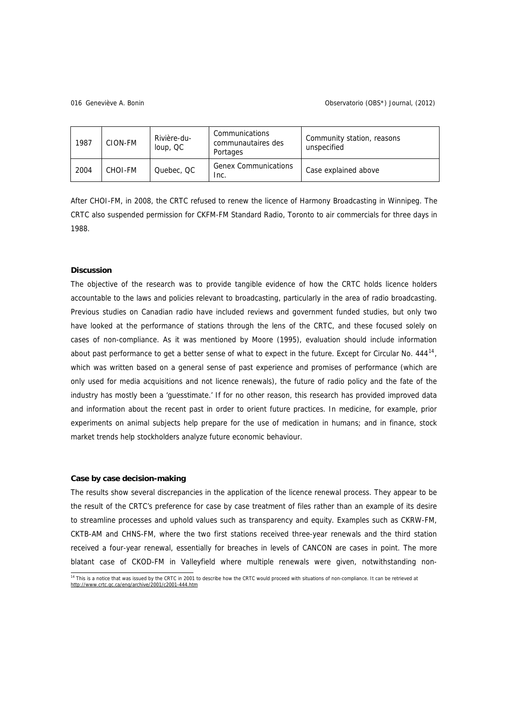### <span id="page-15-0"></span>Geneviève A. Bonin 016 Observatorio (OBS\*) Journal, (2012)

| 1987 | CION-FM | Rivière-du-<br>loup, QC | Communications<br>communautaires des<br>Portages | Community station, reasons<br>unspecified |
|------|---------|-------------------------|--------------------------------------------------|-------------------------------------------|
| 2004 | CHOI-FM | Quebec, QC              | <b>Genex Communications</b><br>Inc.              | Case explained above                      |

After CHOI-FM, in 2008, the CRTC refused to renew the licence of Harmony Broadcasting in Winnipeg. The CRTC also suspended permission for CKFM-FM Standard Radio, Toronto to air commercials for three days in 1988.

## **Discussion**

The objective of the research was to provide tangible evidence of how the CRTC holds licence holders accountable to the laws and policies relevant to broadcasting, particularly in the area of radio broadcasting. Previous studies on Canadian radio have included reviews and government funded studies, but only two have looked at the performance of stations through the lens of the CRTC, and these focused solely on cases of non-compliance. As it was mentioned by Moore (1995), evaluation should include information about past performance to get a better sense of what to expect in the future. Except for Circular No. 444<sup>[14](#page-15-0)</sup>, which was written based on a general sense of past experience and promises of performance (which are only used for media acquisitions and not licence renewals), the future of radio policy and the fate of the industry has mostly been a 'guesstimate.' If for no other reason, this research has provided improved data and information about the recent past in order to orient future practices. In medicine, for example, prior experiments on animal subjects help prepare for the use of medication in humans; and in finance, stock market trends help stockholders analyze future economic behaviour.

## **Case by case decision-making**

The results show several discrepancies in the application of the licence renewal process. They appear to be the result of the CRTC's preference for case by case treatment of files rather than an example of its desire to streamline processes and uphold values such as transparency and equity. Examples such as CKRW-FM, CKTB-AM and CHNS-FM, where the two first stations received three-year renewals and the third station received a four-year renewal, essentially for breaches in levels of CANCON are cases in point. The more blatant case of CKOD-FM in Valleyfield where multiple renewals were given, notwithstanding non-

 14 This is a notice that was issued by the CRTC in 2001 to describe how the CRTC would proceed with situations of non-compliance. It can be retrieved at <http://www.crtc.gc.ca/eng/archive/2001/c2001-444.htm>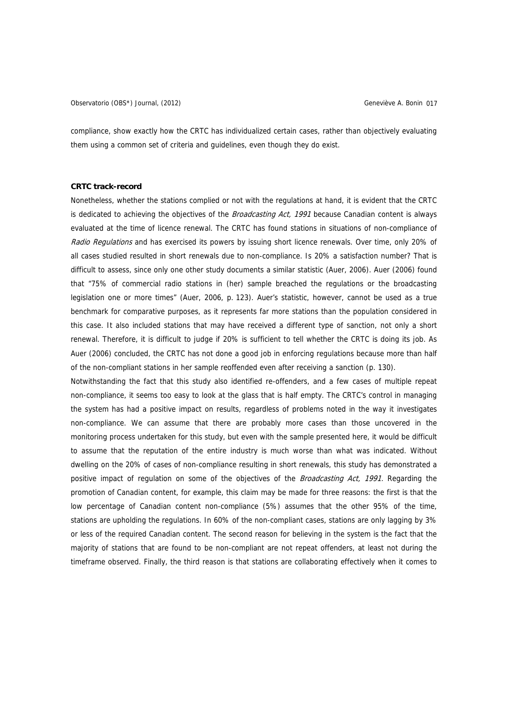Observatorio (OBS\*) Journal, (2012) Geneviève A. Bonin 017

compliance, show exactly how the CRTC has individualized certain cases, rather than objectively evaluating them using a common set of criteria and guidelines, even though they do exist.

## **CRTC track-record**

Nonetheless, whether the stations complied or not with the regulations at hand, it is evident that the CRTC is dedicated to achieving the objectives of the *Broadcasting Act, 1991* because Canadian content is always evaluated at the time of licence renewal. The CRTC has found stations in situations of non-compliance of Radio Regulations and has exercised its powers by issuing short licence renewals. Over time, only 20% of all cases studied resulted in short renewals due to non-compliance. Is 20% a satisfaction number? That is difficult to assess, since only one other study documents a similar statistic (Auer, 2006). Auer (2006) found that "75% of commercial radio stations in (her) sample breached the regulations or the broadcasting legislation one or more times" (Auer, 2006, p. 123). Auer's statistic, however, cannot be used as a true benchmark for comparative purposes, as it represents far more stations than the population considered in this case. It also included stations that may have received a different type of sanction, not only a short renewal. Therefore, it is difficult to judge if 20% is sufficient to tell whether the CRTC is doing its job. As Auer (2006) concluded, the CRTC has not done a good job in enforcing regulations because more than half of the non-compliant stations in her sample reoffended even after receiving a sanction (p. 130).

Notwithstanding the fact that this study also identified re-offenders, and a few cases of multiple repeat non-compliance, it seems too easy to look at the glass that is half empty. The CRTC's control in managing the system has had a positive impact on results, regardless of problems noted in the way it investigates non-compliance. We can assume that there are probably more cases than those uncovered in the monitoring process undertaken for this study, but even with the sample presented here, it would be difficult to assume that the reputation of the entire industry is much worse than what was indicated. Without dwelling on the 20% of cases of non-compliance resulting in short renewals, this study has demonstrated a positive impact of regulation on some of the objectives of the *Broadcasting Act, 1991*. Regarding the promotion of Canadian content, for example, this claim may be made for three reasons: the first is that the low percentage of Canadian content non-compliance (5%) assumes that the other 95% of the time, stations are upholding the regulations. In 60% of the non-compliant cases, stations are only lagging by 3% or less of the required Canadian content. The second reason for believing in the system is the fact that the majority of stations that are found to be non-compliant are not repeat offenders, at least not during the timeframe observed. Finally, the third reason is that stations are collaborating effectively when it comes to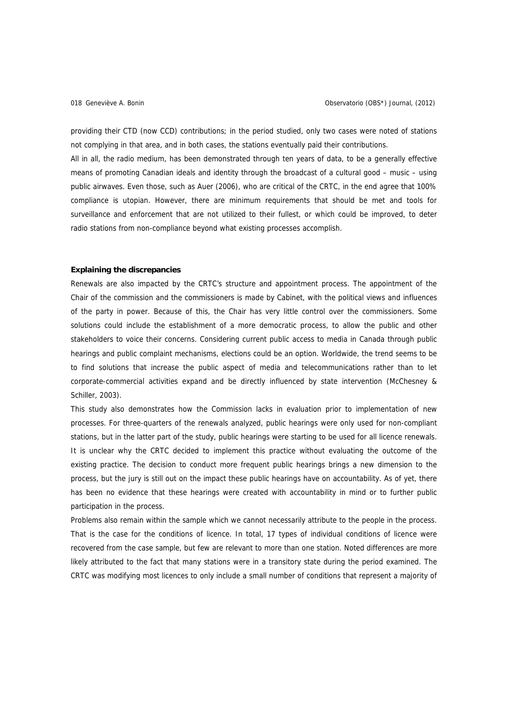providing their CTD (now CCD) contributions; in the period studied, only two cases were noted of stations not complying in that area, and in both cases, the stations eventually paid their contributions.

All in all, the radio medium, has been demonstrated through ten years of data, to be a generally effective means of promoting Canadian ideals and identity through the broadcast of a cultural good – music – using public airwaves. Even those, such as Auer (2006), who are critical of the CRTC, in the end agree that 100% compliance is utopian. However, there are minimum requirements that should be met and tools for surveillance and enforcement that are not utilized to their fullest, or which could be improved, to deter radio stations from non-compliance beyond what existing processes accomplish.

## **Explaining the discrepancies**

Renewals are also impacted by the CRTC's structure and appointment process. The appointment of the Chair of the commission and the commissioners is made by Cabinet, with the political views and influences of the party in power. Because of this, the Chair has very little control over the commissioners. Some solutions could include the establishment of a more democratic process, to allow the public and other stakeholders to voice their concerns. Considering current public access to media in Canada through public hearings and public complaint mechanisms, elections could be an option. Worldwide, the trend seems to be to find solutions that increase the public aspect of media and telecommunications rather than to let corporate-commercial activities expand and be directly influenced by state intervention (McChesney & Schiller, 2003).

This study also demonstrates how the Commission lacks in evaluation prior to implementation of new processes. For three-quarters of the renewals analyzed, public hearings were only used for non-compliant stations, but in the latter part of the study, public hearings were starting to be used for all licence renewals. It is unclear why the CRTC decided to implement this practice without evaluating the outcome of the existing practice. The decision to conduct more frequent public hearings brings a new dimension to the process, but the jury is still out on the impact these public hearings have on accountability. As of yet, there has been no evidence that these hearings were created with accountability in mind or to further public participation in the process.

Problems also remain within the sample which we cannot necessarily attribute to the people in the process. That is the case for the conditions of licence. In total, 17 types of individual conditions of licence were recovered from the case sample, but few are relevant to more than one station. Noted differences are more likely attributed to the fact that many stations were in a transitory state during the period examined. The CRTC was modifying most licences to only include a small number of conditions that represent a majority of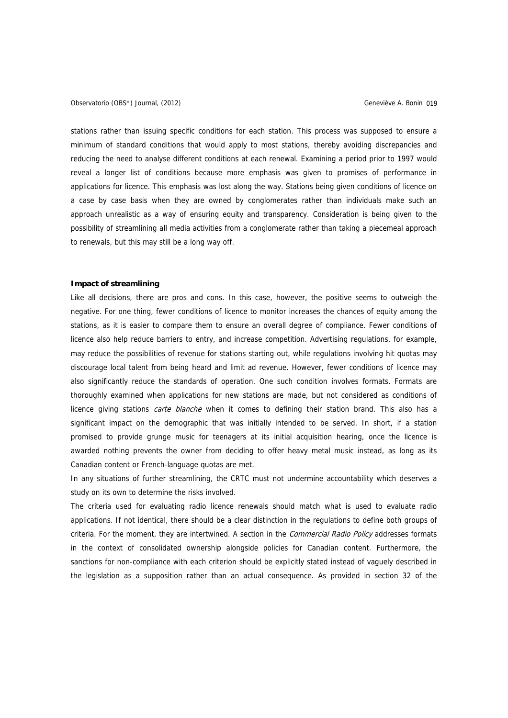stations rather than issuing specific conditions for each station. This process was supposed to ensure a minimum of standard conditions that would apply to most stations, thereby avoiding discrepancies and reducing the need to analyse different conditions at each renewal. Examining a period prior to 1997 would reveal a longer list of conditions because more emphasis was given to promises of performance in applications for licence. This emphasis was lost along the way. Stations being given conditions of licence on a case by case basis when they are owned by conglomerates rather than individuals make such an approach unrealistic as a way of ensuring equity and transparency. Consideration is being given to the possibility of streamlining all media activities from a conglomerate rather than taking a piecemeal approach to renewals, but this may still be a long way off.

## **Impact of streamlining**

Like all decisions, there are pros and cons. In this case, however, the positive seems to outweigh the negative. For one thing, fewer conditions of licence to monitor increases the chances of equity among the stations, as it is easier to compare them to ensure an overall degree of compliance. Fewer conditions of licence also help reduce barriers to entry, and increase competition. Advertising regulations, for example, may reduce the possibilities of revenue for stations starting out, while regulations involving hit quotas may discourage local talent from being heard and limit ad revenue. However, fewer conditions of licence may also significantly reduce the standards of operation. One such condition involves formats. Formats are thoroughly examined when applications for new stations are made, but not considered as conditions of licence giving stations *carte blanche* when it comes to defining their station brand. This also has a significant impact on the demographic that was initially intended to be served. In short, if a station promised to provide grunge music for teenagers at its initial acquisition hearing, once the licence is awarded nothing prevents the owner from deciding to offer heavy metal music instead, as long as its Canadian content or French-language quotas are met.

In any situations of further streamlining, the CRTC must not undermine accountability which deserves a study on its own to determine the risks involved.

The criteria used for evaluating radio licence renewals should match what is used to evaluate radio applications. If not identical, there should be a clear distinction in the regulations to define both groups of criteria. For the moment, they are intertwined. A section in the Commercial Radio Policy addresses formats in the context of consolidated ownership alongside policies for Canadian content. Furthermore, the sanctions for non-compliance with each criterion should be explicitly stated instead of vaguely described in the legislation as a supposition rather than an actual consequence. As provided in section 32 of the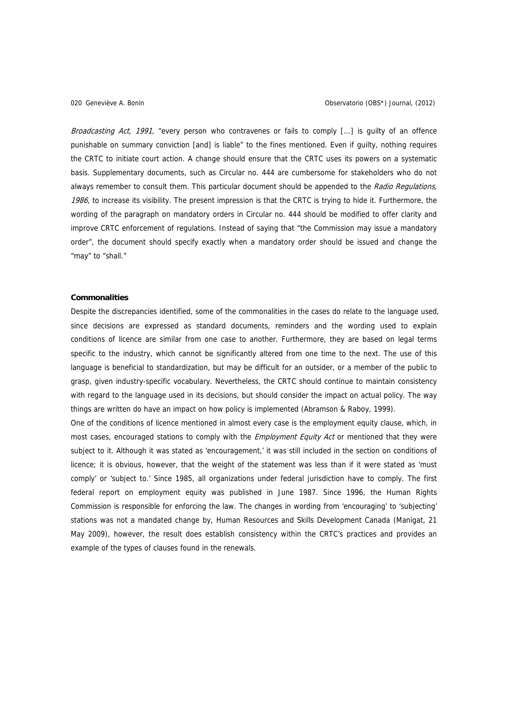Broadcasting Act, 1991, "every person who contravenes or fails to comply [...] is quilty of an offence punishable on summary conviction [and] is liable" to the fines mentioned. Even if guilty, nothing requires the CRTC to initiate court action. A change should ensure that the CRTC uses its powers on a systematic basis. Supplementary documents, such as Circular no. 444 are cumbersome for stakeholders who do not always remember to consult them. This particular document should be appended to the Radio Regulations, 1986, to increase its visibility. The present impression is that the CRTC is trying to hide it. Furthermore, the wording of the paragraph on mandatory orders in Circular no. 444 should be modified to offer clarity and improve CRTC enforcement of regulations. Instead of saying that "the Commission may issue a mandatory order", the document should specify exactly when a mandatory order should be issued and change the "may" to "shall."

## **Commonalities**

Despite the discrepancies identified, some of the commonalities in the cases do relate to the language used, since decisions are expressed as standard documents, reminders and the wording used to explain conditions of licence are similar from one case to another. Furthermore, they are based on legal terms specific to the industry, which cannot be significantly altered from one time to the next. The use of this language is beneficial to standardization, but may be difficult for an outsider, or a member of the public to grasp, given industry-specific vocabulary. Nevertheless, the CRTC should continue to maintain consistency with regard to the language used in its decisions, but should consider the impact on actual policy. The way things are written do have an impact on how policy is implemented (Abramson & Raboy, 1999).

One of the conditions of licence mentioned in almost every case is the employment equity clause, which, in most cases, encouraged stations to comply with the *Employment Equity Act* or mentioned that they were subject to it. Although it was stated as 'encouragement,' it was still included in the section on conditions of licence; it is obvious, however, that the weight of the statement was less than if it were stated as 'must comply' or 'subject to.' Since 1985, all organizations under federal jurisdiction have to comply. The first federal report on employment equity was published in June 1987. Since 1996, the Human Rights Commission is responsible for enforcing the law. The changes in wording from 'encouraging' to 'subjecting' stations was not a mandated change by, Human Resources and Skills Development Canada (Manigat, 21 May 2009), however, the result does establish consistency within the CRTC's practices and provides an example of the types of clauses found in the renewals.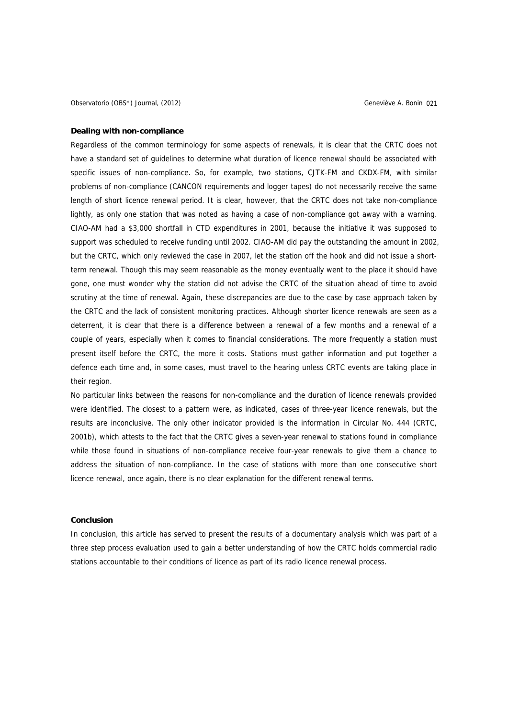## **Dealing with non-compliance**

Regardless of the common terminology for some aspects of renewals, it is clear that the CRTC does not have a standard set of guidelines to determine what duration of licence renewal should be associated with specific issues of non-compliance. So, for example, two stations, CJTK-FM and CKDX-FM, with similar problems of non-compliance (CANCON requirements and logger tapes) do not necessarily receive the same length of short licence renewal period. It is clear, however, that the CRTC does not take non-compliance lightly, as only one station that was noted as having a case of non-compliance got away with a warning. CIAO-AM had a \$3,000 shortfall in CTD expenditures in 2001, because the initiative it was supposed to support was scheduled to receive funding until 2002. CIAO-AM did pay the outstanding the amount in 2002, but the CRTC, which only reviewed the case in 2007, let the station off the hook and did not issue a shortterm renewal. Though this may seem reasonable as the money eventually went to the place it should have gone, one must wonder why the station did not advise the CRTC of the situation ahead of time to avoid scrutiny at the time of renewal. Again, these discrepancies are due to the case by case approach taken by the CRTC and the lack of consistent monitoring practices. Although shorter licence renewals are seen as a deterrent, it is clear that there is a difference between a renewal of a few months and a renewal of a couple of years, especially when it comes to financial considerations. The more frequently a station must present itself before the CRTC, the more it costs. Stations must gather information and put together a defence each time and, in some cases, must travel to the hearing unless CRTC events are taking place in their region.

No particular links between the reasons for non-compliance and the duration of licence renewals provided were identified. The closest to a pattern were, as indicated, cases of three-year licence renewals, but the results are inconclusive. The only other indicator provided is the information in Circular No. 444 (CRTC, 2001b), which attests to the fact that the CRTC gives a seven-year renewal to stations found in compliance while those found in situations of non-compliance receive four-year renewals to give them a chance to address the situation of non-compliance. In the case of stations with more than one consecutive short licence renewal, once again, there is no clear explanation for the different renewal terms.

# **Conclusion**

In conclusion, this article has served to present the results of a documentary analysis which was part of a three step process evaluation used to gain a better understanding of how the CRTC holds commercial radio stations accountable to their conditions of licence as part of its radio licence renewal process.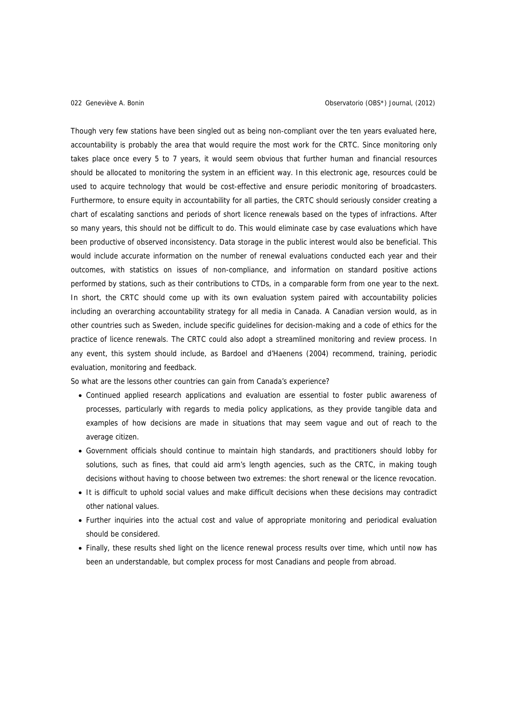Though very few stations have been singled out as being non-compliant over the ten years evaluated here, accountability is probably the area that would require the most work for the CRTC. Since monitoring only takes place once every 5 to 7 years, it would seem obvious that further human and financial resources should be allocated to monitoring the system in an efficient way. In this electronic age, resources could be used to acquire technology that would be cost-effective and ensure periodic monitoring of broadcasters. Furthermore, to ensure equity in accountability for all parties, the CRTC should seriously consider creating a chart of escalating sanctions and periods of short licence renewals based on the types of infractions. After so many years, this should not be difficult to do. This would eliminate case by case evaluations which have been productive of observed inconsistency. Data storage in the public interest would also be beneficial. This would include accurate information on the number of renewal evaluations conducted each year and their outcomes, with statistics on issues of non-compliance, and information on standard positive actions performed by stations, such as their contributions to CTDs, in a comparable form from one year to the next. In short, the CRTC should come up with its own evaluation system paired with accountability policies including an overarching accountability strategy for all media in Canada. A Canadian version would, as in other countries such as Sweden, include specific guidelines for decision-making and a code of ethics for the practice of licence renewals. The CRTC could also adopt a streamlined monitoring and review process. In any event, this system should include, as Bardoel and d'Haenens (2004) recommend, training, periodic evaluation, monitoring and feedback.

So what are the lessons other countries can gain from Canada's experience?

- Continued applied research applications and evaluation are essential to foster public awareness of processes, particularly with regards to media policy applications, as they provide tangible data and examples of how decisions are made in situations that may seem vague and out of reach to the average citizen.
- Government officials should continue to maintain high standards, and practitioners should lobby for solutions, such as fines, that could aid arm's length agencies, such as the CRTC, in making tough decisions without having to choose between two extremes: the short renewal or the licence revocation.
- It is difficult to uphold social values and make difficult decisions when these decisions may contradict other national values.
- Further inquiries into the actual cost and value of appropriate monitoring and periodical evaluation should be considered.
- Finally, these results shed light on the licence renewal process results over time, which until now has been an understandable, but complex process for most Canadians and people from abroad.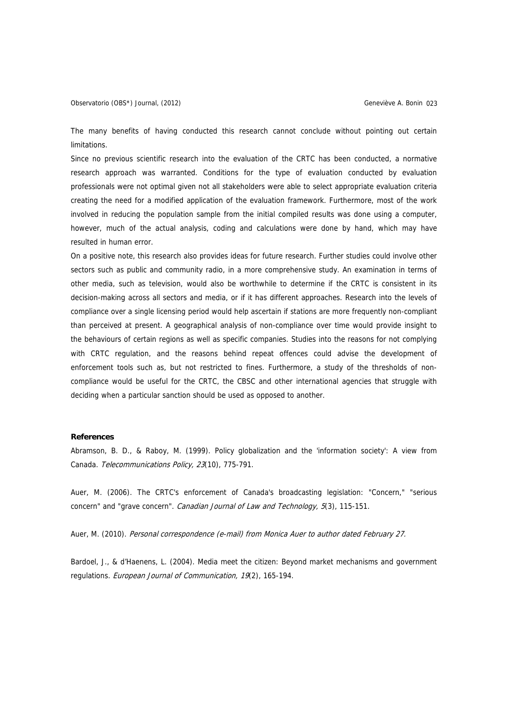The many benefits of having conducted this research cannot conclude without pointing out certain limitations.

Since no previous scientific research into the evaluation of the CRTC has been conducted, a normative research approach was warranted. Conditions for the type of evaluation conducted by evaluation professionals were not optimal given not all stakeholders were able to select appropriate evaluation criteria creating the need for a modified application of the evaluation framework. Furthermore, most of the work involved in reducing the population sample from the initial compiled results was done using a computer, however, much of the actual analysis, coding and calculations were done by hand, which may have resulted in human error.

On a positive note, this research also provides ideas for future research. Further studies could involve other sectors such as public and community radio, in a more comprehensive study. An examination in terms of other media, such as television, would also be worthwhile to determine if the CRTC is consistent in its decision-making across all sectors and media, or if it has different approaches. Research into the levels of compliance over a single licensing period would help ascertain if stations are more frequently non-compliant than perceived at present. A geographical analysis of non-compliance over time would provide insight to the behaviours of certain regions as well as specific companies. Studies into the reasons for not complying with CRTC regulation, and the reasons behind repeat offences could advise the development of enforcement tools such as, but not restricted to fines. Furthermore, a study of the thresholds of noncompliance would be useful for the CRTC, the CBSC and other international agencies that struggle with deciding when a particular sanction should be used as opposed to another.

# **References**

Abramson, B. D., & Raboy, M. (1999). Policy globalization and the 'information society': A view from Canada. Telecommunications Policy, 23(10), 775-791.

Auer, M. (2006). The CRTC's enforcement of Canada's broadcasting legislation: "Concern," "serious concern" and "grave concern". Canadian Journal of Law and Technology, 5(3), 115-151.

Auer, M. (2010). Personal correspondence (e-mail) from Monica Auer to author dated February 27.

Bardoel, J., & d'Haenens, L. (2004). Media meet the citizen: Beyond market mechanisms and government regulations. European Journal of Communication, 19(2), 165-194.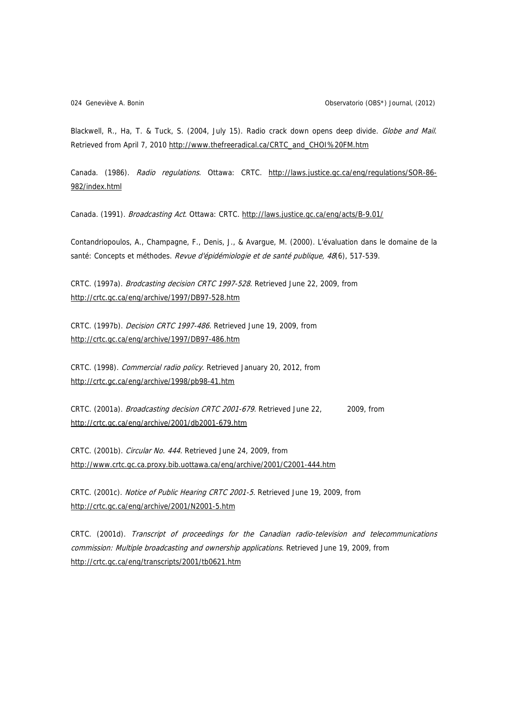Blackwell, R., Ha, T. & Tuck, S. (2004, July 15). Radio crack down opens deep divide. Globe and Mail. Retrieved from April 7, 2010 [http://www.thefreeradical.ca/CRTC\\_and\\_CHOI%20FM.htm](http://www.thefreeradical.ca/CRTC_and_CHOI%20FM.htm)

Canada. (1986). Radio regulations. Ottawa: CRTC. [http://laws.justice.gc.ca/eng/regulations/SOR-86-](http://laws.justice.gc.ca/eng/regulations/SOR-86-982/index.html) [982/index.html](http://laws.justice.gc.ca/eng/regulations/SOR-86-982/index.html)

Canada. (1991). Broadcasting Act. Ottawa: CRTC. <http://laws.justice.gc.ca/eng/acts/B-9.01/>

Contandriopoulos, A., Champagne, F., Denis, J., & Avargue, M. (2000). L'évaluation dans le domaine de la santé: Concepts et méthodes. Revue d'épidémiologie et de santé publique, 48(6), 517-539.

CRTC. (1997a). Brodcasting decision CRTC 1997-528. Retrieved June 22, 2009, from <http://crtc.gc.ca/eng/archive/1997/DB97-528.htm>

CRTC. (1997b). Decision CRTC 1997-486. Retrieved June 19, 2009, from <http://crtc.gc.ca/eng/archive/1997/DB97-486.htm>

CRTC. (1998). Commercial radio policy. Retrieved January 20, 2012, from <http://crtc.gc.ca/eng/archive/1998/pb98-41.htm>

CRTC. (2001a). Broadcasting decision CRTC 2001-679. Retrieved June 22, 2009, from <http://crtc.gc.ca/eng/archive/2001/db2001-679.htm>

CRTC. (2001b). Circular No. 444. Retrieved June 24, 2009, from <http://www.crtc.gc.ca.proxy.bib.uottawa.ca/eng/archive/2001/C2001-444.htm>

CRTC. (2001c). Notice of Public Hearing CRTC 2001-5. Retrieved June 19, 2009, from <http://crtc.gc.ca/eng/archive/2001/N2001-5.htm>

CRTC. (2001d). Transcript of proceedings for the Canadian radio-television and telecommunications commission: Multiple broadcasting and ownership applications. Retrieved June 19, 2009, from <http://crtc.gc.ca/eng/transcripts/2001/tb0621.htm>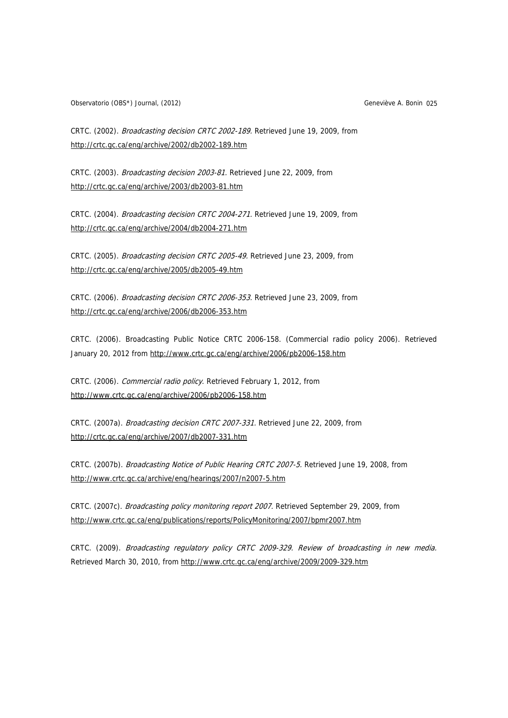Observatorio (OBS\*) Journal, (2012) Geneviève A. Bonin 025

CRTC. (2002). Broadcasting decision CRTC 2002-189. Retrieved June 19, 2009, from <http://crtc.gc.ca/eng/archive/2002/db2002-189.htm>

CRTC. (2003). Broadcasting decision 2003-81. Retrieved June 22, 2009, from <http://crtc.gc.ca/eng/archive/2003/db2003-81.htm>

CRTC. (2004). Broadcasting decision CRTC 2004-271. Retrieved June 19, 2009, from <http://crtc.gc.ca/eng/archive/2004/db2004-271.htm>

CRTC. (2005). Broadcasting decision CRTC 2005-49. Retrieved June 23, 2009, from <http://crtc.gc.ca/eng/archive/2005/db2005-49.htm>

CRTC. (2006). Broadcasting decision CRTC 2006-353. Retrieved June 23, 2009, from <http://crtc.gc.ca/eng/archive/2006/db2006-353.htm>

CRTC. (2006). Broadcasting Public Notice CRTC 2006-158. (Commercial radio policy 2006). Retrieved January 20, 2012 from<http://www.crtc.gc.ca/eng/archive/2006/pb2006-158.htm>

CRTC. (2006). Commercial radio policy. Retrieved February 1, 2012, from <http://www.crtc.gc.ca/eng/archive/2006/pb2006-158.htm>

CRTC. (2007a). Broadcasting decision CRTC 2007-331. Retrieved June 22, 2009, from <http://crtc.gc.ca/eng/archive/2007/db2007-331.htm>

CRTC. (2007b). Broadcasting Notice of Public Hearing CRTC 2007-5. Retrieved June 19, 2008, from <http://www.crtc.gc.ca/archive/eng/hearings/2007/n2007-5.htm>

CRTC. (2007c). Broadcasting policy monitoring report 2007. Retrieved September 29, 2009, from <http://www.crtc.gc.ca/eng/publications/reports/PolicyMonitoring/2007/bpmr2007.htm>

CRTC. (2009). Broadcasting regulatory policy CRTC 2009-329. Review of broadcasting in new media. Retrieved March 30, 2010, from<http://www.crtc.gc.ca/eng/archive/2009/2009-329.htm>